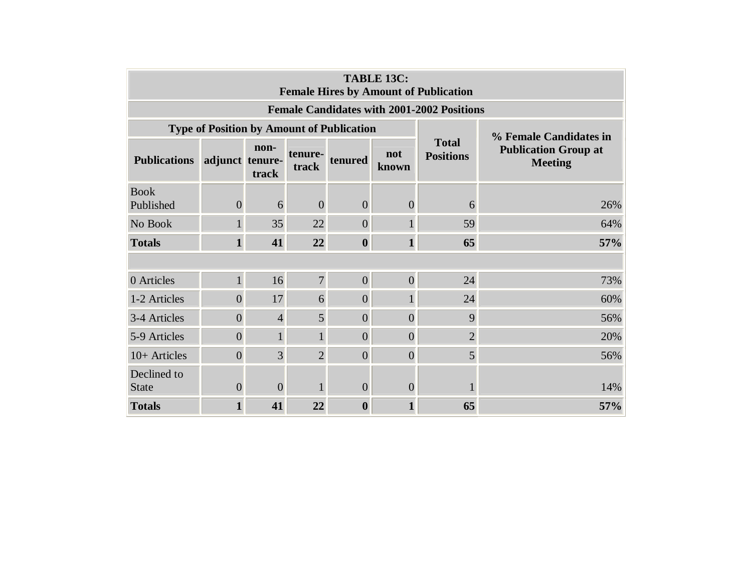| <b>TABLE 13C:</b><br><b>Female Hires by Amount of Publication</b> |                                                  |                |                  |                        |                |                                  |                                               |  |  |  |  |  |
|-------------------------------------------------------------------|--------------------------------------------------|----------------|------------------|------------------------|----------------|----------------------------------|-----------------------------------------------|--|--|--|--|--|
| <b>Female Candidates with 2001-2002 Positions</b>                 |                                                  |                |                  |                        |                |                                  |                                               |  |  |  |  |  |
|                                                                   | <b>Type of Position by Amount of Publication</b> |                |                  | % Female Candidates in |                |                                  |                                               |  |  |  |  |  |
| <b>Publications</b>                                               | adjunct tenure-                                  | non-<br>track  | tenure-<br>track | tenured                | not<br>known   | <b>Total</b><br><b>Positions</b> | <b>Publication Group at</b><br><b>Meeting</b> |  |  |  |  |  |
| <b>Book</b><br>Published                                          | $\overline{0}$                                   | 6              | $\overline{0}$   | $\overline{0}$         | $\overline{0}$ | 6                                | 26%                                           |  |  |  |  |  |
| No Book                                                           | $\mathbf{1}$                                     | 35             | 22               | $\overline{0}$         |                | 59                               | 64%                                           |  |  |  |  |  |
| <b>Totals</b>                                                     | $\mathbf{1}$                                     | 41             | 22               | $\boldsymbol{0}$       | 1              | 65                               | 57%                                           |  |  |  |  |  |
|                                                                   |                                                  |                |                  |                        |                |                                  |                                               |  |  |  |  |  |
| 0 Articles                                                        | $\mathbf{1}$                                     | 16             | $\overline{7}$   | $\overline{0}$         | $\overline{0}$ | 24                               | 73%                                           |  |  |  |  |  |
| 1-2 Articles                                                      | $\overline{0}$                                   | 17             | 6                | $\overline{0}$         |                | 24                               | 60%                                           |  |  |  |  |  |
| 3-4 Articles                                                      | $\overline{0}$                                   | $\overline{4}$ | 5                | $\overline{0}$         | $\overline{0}$ | 9                                | 56%                                           |  |  |  |  |  |
| 5-9 Articles                                                      | $\overline{0}$                                   |                | $\mathbf{1}$     | $\overline{0}$         | $\overline{0}$ | $\overline{2}$                   | 20%                                           |  |  |  |  |  |
| 10+ Articles                                                      | $\overline{0}$                                   | $\overline{3}$ | $\overline{2}$   | $\overline{0}$         | $\overline{0}$ | 5 <sup>1</sup>                   | 56%                                           |  |  |  |  |  |
| Declined to<br><b>State</b>                                       | $\overline{0}$                                   | $\Omega$       |                  | 0                      | $\overline{0}$ |                                  | 14%                                           |  |  |  |  |  |
| <b>Totals</b>                                                     | $\mathbf{1}$                                     | 41             | 22               | $\boldsymbol{0}$       | 1              | 65                               | 57%                                           |  |  |  |  |  |